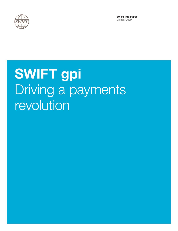

SWIFT info paper October 2020

# SWIFT gpi Driving a payments revolution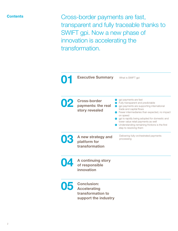#### **Contents**

Cross-border payments are fast, transparent and fully traceable thanks to SWIFT gpi. Now a new phase of innovation is accelerating the transformation.



Executive Summary

What is SWIFT gpi

**1** gpi payments are fast

02 Cross-border payments: the real story revealed

A new strategy and platform for **2** Fully transparent and predictable **3** gpi payments are supporting international trade and capital flows **•** Fewer intermediaries than expected, no impact on speed **g** gpi is rapidly being adopted for domestic and lower value retail payments as well **•** Understanding remaining frictions is the first step to resolving them Delivering fully-orchestrated payments processing

04

03

A continuing story of responsible innovation

transformation



Conclusion: Accelerating transformation to support the industry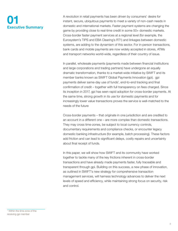## 01 Executive Summary

A revolution in retail payments has been driven by consumers' desire for instant, secure, ubiquitous payments to meet a variety of non-cash needs in domestic and international markets. Faster payment systems are changing the game by providing close to real-time credit in some 50+ domestic markets. Cross-border faster payment services at a regional level (for example, the Eurosystem's TIPS and EBA Clearing's RT1) and linkages between domestic systems, are adding to the dynamism of this sector. For in-person transactions, bank cards and mobile payments are now widely accepted in stores, ATMs and transport networks world-wide, regardless of their country of issue.

In parallel, wholesale payments (payments made between financial institutions and large corporations and trading partners) have undergone an equally dramatic transformation, thanks to a market-wide initiative by SWIFT and its member banks known as SWIFT Global Payments Innovation (gpi). gpi payments deliver same-day use of funds<sup>1</sup>, end-to-end tracking and final confirmation of credit – together with full transparency on fees charged. Since its inception in 2017, gpi has seen rapid adoption for cross-border payments. At the same time, strong growth in its use for domestic payments and for increasingly lower value transactions proves the service is well-matched to the needs of the future

Cross-border payments – that originate in one jurisdiction and are credited to an account in a different one – are more complex than domestic transactions. They may cross time-zones, be subject to local currency controls, documentary requirements and compliance checks, or encounter legacy domestic banking infrastructure (for example, batch processing). These factors add friction and can lead to significant delays, costly repairs and uncertainty about final receipt of funds.

In this paper, we will show how SWIFT and its community have worked together to tackle many of the key frictions inherent in cross-border transactions and have already made payments faster, fully traceable and transparent through gpi. Building on this success, a new phase of innovation, as outlined in SWIFT's new strategy for comprehensive transaction management services, will harness technology advances to deliver the next levels of speed and efficiency, while maintaining strong focus on security, risk and control.

<sup>1</sup> Within the time zone of the receiving api member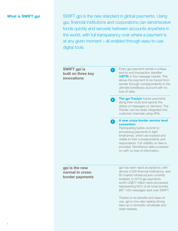What is SWIFT gpi SWIFT gpi is the new standard in global payments. Using gpi, financial institutions and corporations can send/receive funds quickly and securely between accounts anywhere in the world, with full transparency over where a payment is at any given moment – all enabled through easy-to-use digital tools.

 $\bullet$ 

SWIFT gpi is built on three key innovations

Every gpi payment carries a unique end-to-end transaction identifier (UETR) in the message header. This allows the payment to be traced from sender through correspondents to the ultimate beneficiary account with no loss of data.

The gpi Tracker traces payments along their route and reports the status of messages on demand. The Tracker can be easily integrated into customer channels using APIs. 2

A new cross-border service level convention 3

Participating banks commit to processing payments in tight timeframes, which are tracked and visible to their correspondents and respondents. Full visibility on fees is provided. Remittance data is passed on with no loss of information.

gpi is the new normal in crossborder payments gpi has seen rapid acceptance, with almost 4,000 financial institutions, and 80 market infrastructures currently enabled. In 2019 gpi payments worth US\$77 trillion were processed, representing 65% of all cross-border (MT 103) messages sent over SWIFT.

Thanks to its benefits and ease-ofuse, gpi is now also seeing strong take-up in domestic wholesale and retail markets.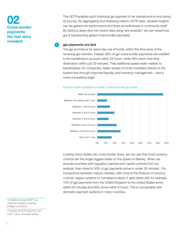## 02 Cross-border payments: the real story revealed

The UETR enables each individual gpi payment to be tracked end-to-end along its journey. By aggregating and analysing historic UETR data, valuable insights can be gained into performance and flows at institutional or community level<sup>2</sup>. By taking a deep-dive into recent data using new analysis<sup>3</sup>, we can reveal how gpi is transforming global cross-border payments.

#### gpi payments are fast

1

The gpi promise is for same day use of funds, within the time-zone of the receiving gpi member. Indeed, 92% of gpi cross-border payments are credited to the beneficiary's account within 24 hours, while 38% reach their final destination within just 30 minutes. That additional speed really matters to beneficiaries: for companies, faster receipt of funds translates directly to the bottom-line through improved liquidity and inventory management – and a more competitive edge.



All cross-border transactions on SWIFT confirmed in the gpi Tracker

Looking more closely into cross-border flows, we can see that local currency controls are the single biggest brake on the speed of delivery. When we exclude countries with regulatory barriers and capital controls from our analysis, then close to 50% of gpi payments arrive in under 30 minutes. For transactions between mature markets, with none of the frictions of currency controls, legacy systems or compliance stops, it gets better still: for example, 72% of gpi payments from the United Kingdom to the United States arrive within 30 minutes and 95% arrive within 6 hours. This is comparable with domestic payment systems in many countries.

<sup>2</sup> Available through SWIFT gpi Observer Analytics business intelligence solution

3 Analysis of UETR data from Q2 2020, unless otherwise stated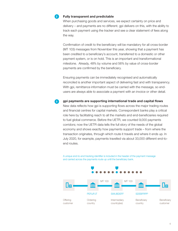

 $\mathbf{a}$ 

#### Fully transparent and predictable

When purchasing goods and services, we expect certainty on price and delivery – and payments are no different. gpi delivers on this, with the ability to track each payment using the tracker and see a clear statement of fees along the way.

Confirmation of credit to the beneficiary will be mandatory for all cross-border (MT 103) messages from November this year, showing that a payment has been credited to a beneficiary's account, transferred to a domestic or other payment system, or is on hold. This is an important and transformational milestone. Already, 48% by volume and 56% by value of cross-border payments are confirmed by the beneficiary.

Ensuring payments can be immediately recognised and automatically reconciled is another important aspect of delivering fast and with transparency. With gpi, remittance information must be carried with the message, so endusers are always able to associate a payment with an invoice or other detail.

gpi payments are supporting international trade and capital flows New data reflects how gpi is supporting flows across the major trading routes and financial centres for capital markets. Correspondent banks play a critical role here by facilitating reach to all the markets and end-beneficiaries required to fuel global commerce. Before the UETR, we counted 9,000 payments corridors; now the UETR data tells the full story of the needs of the global economy and shows exactly how payments support trade – from where the transaction originates, through which route it travels and where it ends up. In July 2020, for example, payments travelled via about 33,000 different end-toend routes.

A unique end-to-end tracking identifier is included in the header of the payment message and carried across the payments route up until the beneficiary bank.

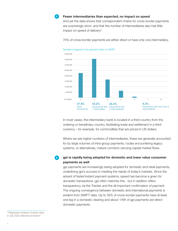

#### Fewer intermediaries than expected, no impact on speed

And yet the data shows that correspondent chains for cross-border payments are surprisingly short, and that the number of intermediaries also has little impact on speed of delivery4 .

70% of cross-border payments are either direct or have only one intermediary.





In most cases, the intermediary bank is located in a third country from the ordering or beneficiary country, facilitating trade and settlement in a third currency – for example, for commodities that are priced in US dollars.

Where we see higher numbers of intermediaries, these are generally accounted for by large volumes of intra-group payments, routes encountering legacy systems, or alternatively, mature corridors carrying capital market flows.

gpi is rapidly being adopted for domestic and lower value consumer payments as well  $5<sup>1</sup>$ 

gpi payments are increasingly being adopted for domestic and retail payments, underlining gpi's success in meeting the needs of today's markets. Since the advent of faster/instant payment systems, speed has become a given for domestic transactions. gpi often matches this - but in addition offers transparency via the Tracker and the all-important confirmation of payment. The ongoing convergence between domestic and international payments is evident from SWIFT data. Up to 35% of cross-border payments have at least one leg in a domestic clearing and about 1/5th of gpi payments are direct domestic payments.

4 Regression analysis of seven days in July 2020 selected at random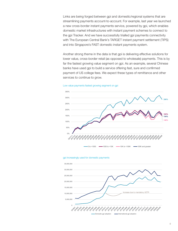Links are being forged between gpi and domestic/regional systems that are streamlining payments account-to-account. For example, last year we launched a new cross-border instant payments service, powered by gpi, which enables domestic market infrastructures with instant payment schemes to connect to the gpi Tracker. And we have successfully trialled gpi payments connectivity with The European Central Bank's TARGET instant payment settlement (TIPS) and into Singapore's FAST domestic instant payments system.

Another strong theme in the data is that gpi is delivering effective solutions for lower value, cross-border retail (as opposed to wholesale) payments. This is by far the fastest growing value segment on gpi. As an example, several Chinese banks have used gpi to build a service offering fast, sure and confirmed payment of US college fees. We expect these types of remittance and other services to continue to grow.







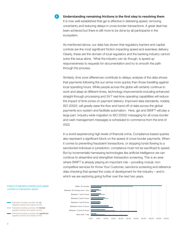#### $6<sup>1</sup>$

#### Understanding remaining frictions is the first step to resolving them

It is now well-established that gpi is effective in delivering speed, removing uncertainty and reducing delays in cross-border transactions. A great deal has been achieved but there is still more to be done by all participants in the ecosystem.

As mentioned above, our data has shown that regulatory barriers and capital controls are the most significant friction impacting speed and seamless delivery. Clearly, these are the domain of local regulators and the banking industry cannot solve this issue alone. What the industry can do though, is speed up responsiveness to requests for documentation and try to smooth the path through the process.

Similarly, time zone differences contribute to delays; analysis of the data shows that payments following the sun arrive more quickly than those travelling against local operating hours. While people across the globe will certainly continue to work and sleep at different times, technology improvements including enhanced straight-through processing and 24/7 real-time operating capabilities will reduce the impact of time-zones on payment delivery. Improved data standards, notably ISO 20022, will greatly ease the flow and hand-off of data across the global payments eco-system and facilitate automation. Here, gpi and SWIFT will play a large part. Industry-wide migration to ISO 20022 messaging for all cross-border and cash management messages is scheduled to commence from the end of 2022.

In a world experiencing high levels of financial crime, Compliance-based queries also represent a significant block on the speed of cross-border payments. When it comes to preventing fraudulent transactions, or stopping funds flowing to a sanctioned individual or jurisdiction, compliance must not be sacrificed to speed. But by incrementally harnessing technologies like artificial intelligence we can continue to streamline and strengthen transaction screening. This is an area where SWIFT is already playing an important role – providing mutual, noncompetitive services for Know Your Customer, sanctions screening and reference data checking that spread the costs of development for the industry – and in which we are exploring going further over the next two years.

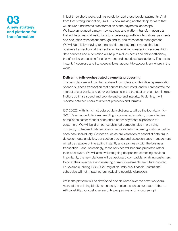## 03 A new strategy and platform for transformation

In just three short years, gpi has revolutionized cross-border payments. And from that strong foundation, SWIFT is now making another leap forward that will deliver fundamental transformation of the payments landscape. We have announced a major new strategy and platform transformation plan that will help financial institutions to accelerate growth in international payments and securities transactions through end-to-end transaction management. We will do this by moving to a transaction management model that puts business transactions at the centre, while retaining messaging services. Rich data services and automation will help to reduce costs and deliver efficiency, transforming processing for all payment and securities transactions. The result: instant, frictionless and transparent flows, account-to-account, anywhere in the world.

#### Delivering fully-orchestrated payments processing

The new platform will maintain a shared, complete and definitive representation of each business transaction that cannot be corrupted, and will orchestrate the interactions of banks and other participants in the transaction chain to minimise friction, optimise speed and provide end-to-end integrity. To do this, it will mediate between users of different protocols and formats.

ISO 20022, with its rich, structured data dictionary, will be the foundation for SWIFT's enhanced platform, enabling increased automation, more effective compliance, faster reconciliation and a better payments experience for customers. We will build on our established competencies in providing common, mutualised data services to reduce costs that are typically carried by each bank individually. Services such as pre-validation of essential data, fraud detection, data analytics, transaction tracking and exception case management will all be capable of interacting instantly and seamlessly with the business transaction – and increasingly, these services will become predictive rather than post-event. We will also evaluate going deeper into screening services. Importantly, the new platform will be backward compatible, enabling customers to go at their own pace and ensuring current investments are future-proofed. For example, during ISO 20022 migration, individual financial institutions' schedules will not impact others, reducing possible disruption.

While the platform will be developed and delivered over the next two years, many of the building blocks are already in place, such as our state-of-the-art API capability, our customer security programme and, of course, gpi.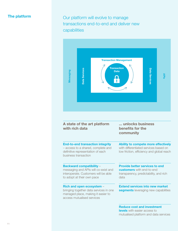### The platform

Our platform will evolve to manage transactions end-to-end and deliver new capabilities



| A state of the art platform<br>with rich data                                                                                                 | unlocks business<br>benefits for the<br>community                                                                           |
|-----------------------------------------------------------------------------------------------------------------------------------------------|-----------------------------------------------------------------------------------------------------------------------------|
| <b>End-to-end transaction integrity</b><br>- access to a shared, complete and<br>definitive representation of each<br>business transaction    | Ability to compete more effectively<br>with differentiated services based on<br>low friction, efficiency and global reach   |
| <b>Backward compatibility -</b><br>messaging and APIs will co-exist and<br>interoperate. Customers will be able<br>to adopt at their own pace | <b>Provide better services to end</b><br><b>customers</b> with end-to-end<br>transparency, predictability, and rich<br>data |
| Rich and open ecosystem -<br>bringing together data services in one<br>managed place, making it easier to<br>access mutualised services       | <b>Extend services into new market</b><br><b>segments</b> leveraging new capabilities                                       |
|                                                                                                                                               | <b>Reduce cost and investment</b>                                                                                           |

levels with easier access to mutualised platform and data services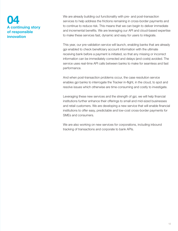## 04 A continuing story of responsible innovation

We are already building out functionality with pre- and post-transaction services to help address the frictions remaining in cross-border payments and to continue to reduce risk. This means that we can begin to deliver immediate and incremental benefits. We are leveraging our API and cloud-based expertise to make these services fast, dynamic and easy for users to integrate.

This year, our pre-validation service will launch, enabling banks that are already gpi enabled to check beneficiary account information with the ultimate receiving bank before a payment is initiated, so that any missing or incorrect information can be immediately corrected and delays (and costs) avoided. The service uses real-time API calls between banks to make for seamless and fast performance.

And when post-transaction problems occur, the case resolution service enables gpi banks to interrogate the Tracker in-flight, in the cloud, to spot and resolve issues which otherwise are time-consuming and costly to investigate.

Leveraging these new services and the strength of gpi, we will help financial institutions further enhance their offerings to small and mid-sized businesses and retail customers. We are developing a new service that will enable financial institutions to offer easy, predictable and low-cost cross-border payments for SMEs and consumers.

We are also working on new services for corporations, including inbound tracking of transactions and corporate to bank APIs.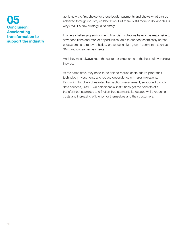## 05 Conclusion: **Accelerating** transformation to support the industry

gpi is now the first choice for cross-border payments and shows what can be achieved through industry collaboration. But there is still more to do, and this is why SWIFT's new strategy is so timely.

In a very challenging environment, financial institutions have to be responsive to new conditions and market opportunities, able to connect seamlessly across ecosystems and ready to build a presence in high-growth segments, such as SME and consumer payments.

And they must always keep the customer experience at the heart of everything they do.

At the same time, they need to be able to reduce costs, future-proof their technology investments and reduce dependency on major migrations. By moving to fully-orchestrated transaction management, supported by rich data services, SWIFT will help financial institutions get the benefits of a transformed, seamless and friction-free payments landscape while reducing costs and increasing efficiency for themselves and their customers.